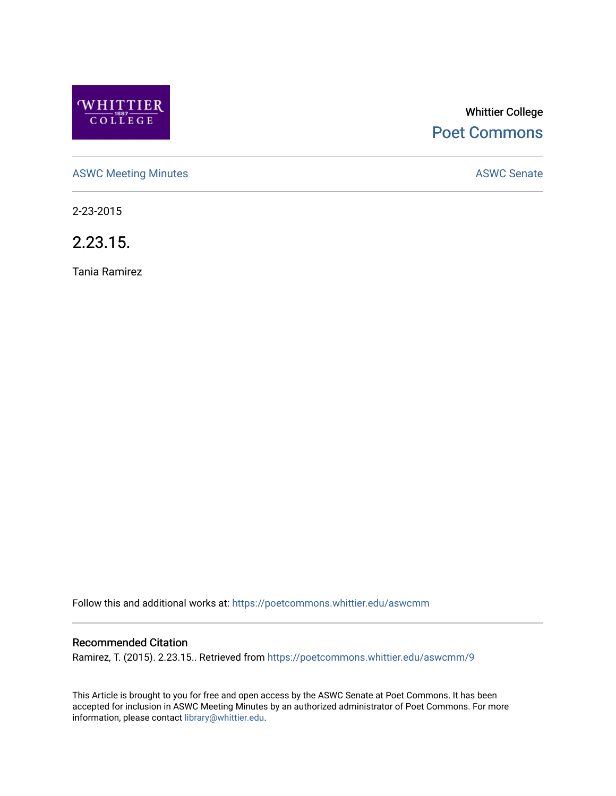

# Whittier College [Poet Commons](https://poetcommons.whittier.edu/)

[ASWC Meeting Minutes](https://poetcommons.whittier.edu/aswcmm) **ASWC Senate** 

2-23-2015

2.23.15.

Tania Ramirez

Follow this and additional works at: [https://poetcommons.whittier.edu/aswcmm](https://poetcommons.whittier.edu/aswcmm?utm_source=poetcommons.whittier.edu%2Faswcmm%2F9&utm_medium=PDF&utm_campaign=PDFCoverPages)

### Recommended Citation

Ramirez, T. (2015). 2.23.15.. Retrieved from [https://poetcommons.whittier.edu/aswcmm/9](https://poetcommons.whittier.edu/aswcmm/9?utm_source=poetcommons.whittier.edu%2Faswcmm%2F9&utm_medium=PDF&utm_campaign=PDFCoverPages) 

This Article is brought to you for free and open access by the ASWC Senate at Poet Commons. It has been accepted for inclusion in ASWC Meeting Minutes by an authorized administrator of Poet Commons. For more information, please contact [library@whittier.edu.](mailto:library@whittier.edu)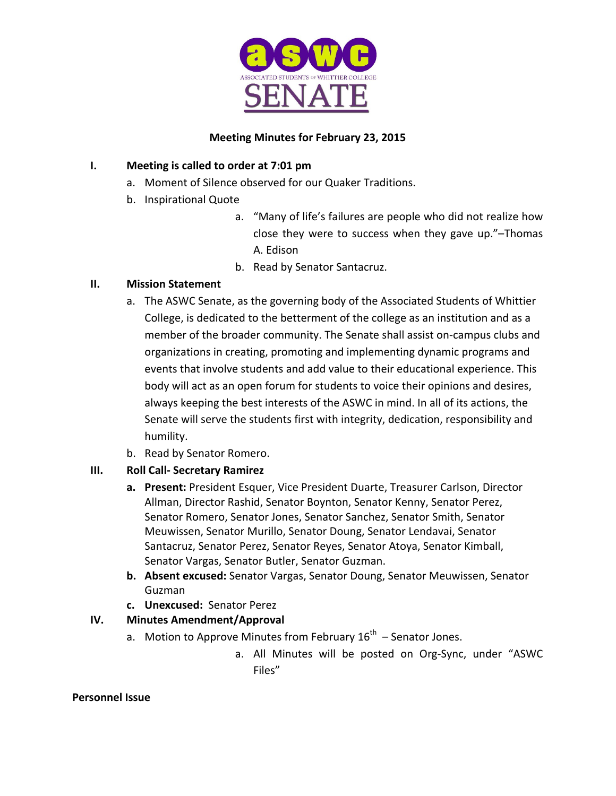

# **Meeting Minutes for February 23, 2015**

# **I.** Meeting is called to order at 7:01 pm

- a. Moment of Silence observed for our Quaker Traditions.
- b. Inspirational Quote
	- a. "Many of life's failures are people who did not realize how close they were to success when they gave up."-Thomas A. Edison
	- b. Read by Senator Santacruz.

# **II. Mission Statement**

- a. The ASWC Senate, as the governing body of the Associated Students of Whittier College, is dedicated to the betterment of the college as an institution and as a member of the broader community. The Senate shall assist on-campus clubs and organizations in creating, promoting and implementing dynamic programs and events that involve students and add value to their educational experience. This body will act as an open forum for students to voice their opinions and desires, always keeping the best interests of the ASWC in mind. In all of its actions, the Senate will serve the students first with integrity, dedication, responsibility and humility.
- b. Read by Senator Romero.

# **III. Roll Call- Secretary Ramirez**

- **a.** Present: President Esquer, Vice President Duarte, Treasurer Carlson, Director Allman, Director Rashid, Senator Boynton, Senator Kenny, Senator Perez, Senator Romero, Senator Jones, Senator Sanchez, Senator Smith, Senator Meuwissen, Senator Murillo, Senator Doung, Senator Lendavai, Senator Santacruz, Senator Perez, Senator Reyes, Senator Atoya, Senator Kimball, Senator Vargas, Senator Butler, Senator Guzman.
- **b.** Absent excused: Senator Vargas, Senator Doung, Senator Meuwissen, Senator Guzman
- **c. Unexcused:**  Senator Perez

# **IV. Minutes Amendment/Approval**

- a. Motion to Approve Minutes from February  $16^{th}$  Senator Jones.
	- a. All Minutes will be posted on Org-Sync, under "ASWC Files"

#### **Personnel Issue**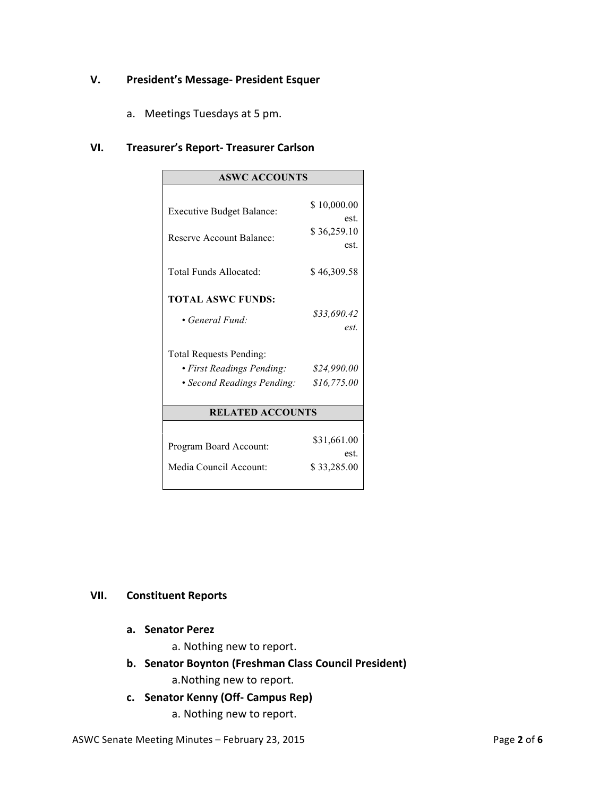### **V.** President's Message- President Esquer

a. Meetings Tuesdays at 5 pm.

#### **VI. Treasurer's Report- Treasurer Carlson**

| <b>ASWC ACCOUNTS</b>             |                     |
|----------------------------------|---------------------|
|                                  |                     |
| <b>Executive Budget Balance:</b> | \$10,000.00         |
|                                  | est.                |
| Reserve Account Balance:         | \$36,259.10<br>est. |
|                                  |                     |
| Total Funds Allocated:           | \$46,309.58         |
|                                  |                     |
| <b>TOTAL ASWC FUNDS:</b>         |                     |
| • General Fund:                  | \$33,690.42         |
|                                  | est.                |
|                                  |                     |
| <b>Total Requests Pending:</b>   |                     |
| • First Readings Pending:        | \$24,990.00         |
| • Second Readings Pending:       | \$16,775.00         |
|                                  |                     |
| <b>RELATED ACCOUNTS</b>          |                     |
|                                  |                     |
| Program Board Account:           | \$31,661.00         |
|                                  | est.                |
| Media Council Account:           | \$33,285.00         |
|                                  |                     |

#### **VII. Constituent Reports**

- **a. Senator Perez**
	- a. Nothing new to report.
- **b.** Senator Boynton (Freshman Class Council President)
	- a. Nothing new to report.
- **c. Senator Kenny (Off- Campus Rep)**
	- a. Nothing new to report.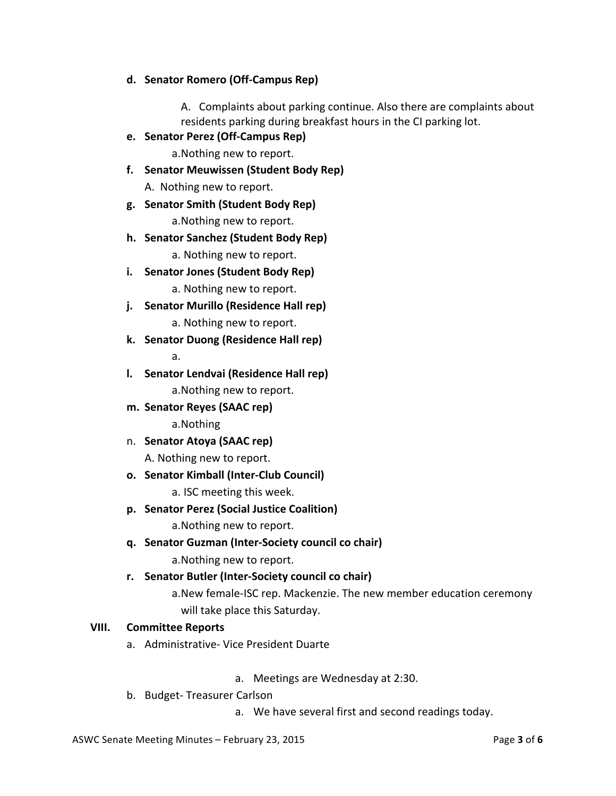### **d. Senator Romero (Off-Campus Rep)**

A. Complaints about parking continue. Also there are complaints about residents parking during breakfast hours in the CI parking lot.

**e. Senator Perez (Off-Campus Rep)**

a. Nothing new to report.

**f.** Senator Meuwissen (Student Body Rep)

A. Nothing new to report.

**g. Senator Smith (Student Body Rep)**

a. Nothing new to report.

**h. Senator Sanchez (Student Body Rep)**

a. Nothing new to report.

**i.** Senator Jones (Student Body Rep)

a. Nothing new to report.

**j.** Senator Murillo (Residence Hall rep)

a. Nothing new to report.

**k. Senator Duong (Residence Hall rep)**

a.

- **l.** Senator Lendvai (Residence Hall rep) a. Nothing new to report.
- **m. Senator Reyes (SAAC rep)**

a.Nothing 

n. **Senator Atoya (SAAC rep)** 

A. Nothing new to report.

**o. Senator Kimball (Inter-Club Council)**

a. ISC meeting this week.

**p. Senator Perez (Social Justice Coalition)**

a. Nothing new to report.

**q. Senator Guzman (Inter-Society council co chair)**

a. Nothing new to report.

**r. Senator Butler (Inter-Society council co chair)**

a. New female-ISC rep. Mackenzie. The new member education ceremony will take place this Saturday.

### **VIII. Committee Reports**

a. Administrative- Vice President Duarte

a. Meetings are Wednesday at 2:30.

b. Budget-Treasurer Carlson

a. We have several first and second readings today.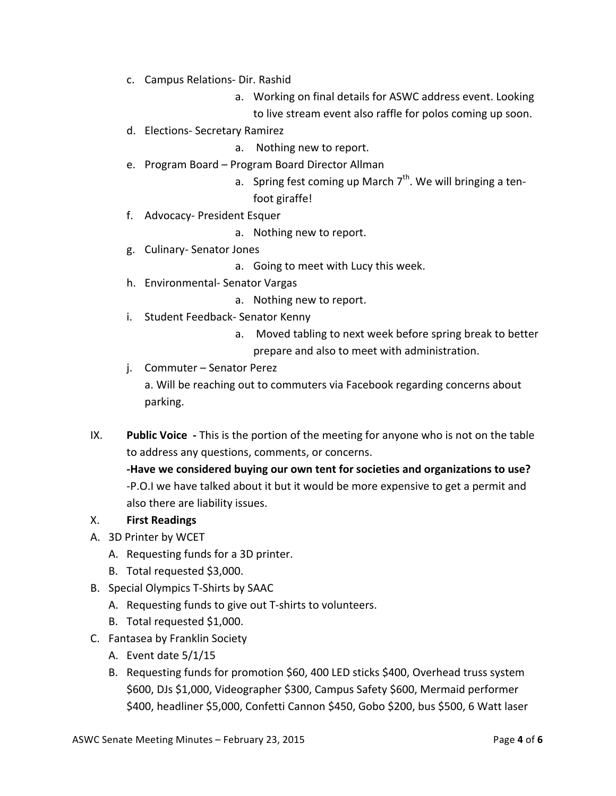- c. Campus Relations- Dir. Rashid
	- a. Working on final details for ASWC address event. Looking to live stream event also raffle for polos coming up soon.
- d. Elections- Secretary Ramirez

a. Nothing new to report.

- e. Program Board Program Board Director Allman
	- a. Spring fest coming up March  $7<sup>th</sup>$ . We will bringing a tenfoot giraffe!
- f. Advocacy- President Esquer
	- a. Nothing new to report.
- g. Culinary-Senator Jones
	- a. Going to meet with Lucy this week.
- h. Environmental- Senator Vargas
	- a. Nothing new to report.
- i. Student Feedback- Senator Kenny
	- a. Moved tabling to next week before spring break to better prepare and also to meet with administration.
- j. Commuter Senator Perez a. Will be reaching out to commuters via Facebook regarding concerns about parking.
- IX. **Public Voice** This is the portion of the meeting for anyone who is not on the table to address any questions, comments, or concerns.

-Have we considered buying our own tent for societies and organizations to use? -P.O.I we have talked about it but it would be more expensive to get a permit and also there are liability issues.

# X. **First Readings**

- A. 3D Printer by WCET
	- A. Requesting funds for a 3D printer.
	- B. Total requested \$3,000.
- B. Special Olympics T-Shirts by SAAC
	- A. Requesting funds to give out T-shirts to volunteers.
	- B. Total requested \$1,000.
- C. Fantasea by Franklin Society
	- A. Event date  $5/1/15$
	- B. Requesting funds for promotion \$60, 400 LED sticks \$400, Overhead truss system \$600, DJs \$1,000, Videographer \$300, Campus Safety \$600, Mermaid performer \$400, headliner \$5,000, Confetti Cannon \$450, Gobo \$200, bus \$500, 6 Watt laser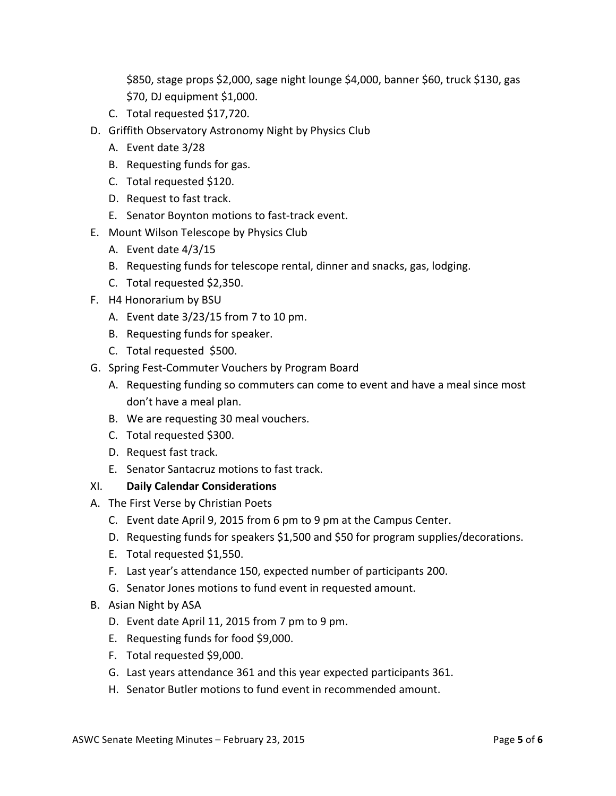\$850, stage props \$2,000, sage night lounge \$4,000, banner \$60, truck \$130, gas \$70, DJ equipment \$1,000.

- C. Total requested \$17,720.
- D. Griffith Observatory Astronomy Night by Physics Club
	- A. Event date 3/28
	- B. Requesting funds for gas.
	- C. Total requested \$120.
	- D. Request to fast track.
	- E. Senator Boynton motions to fast-track event.
- E. Mount Wilson Telescope by Physics Club
	- A. Event date  $4/3/15$
	- B. Requesting funds for telescope rental, dinner and snacks, gas, lodging.
	- C. Total requested \$2,350.
- F. H4 Honorarium by BSU
	- A. Event date  $3/23/15$  from 7 to 10 pm.
	- B. Requesting funds for speaker.
	- C. Total requested \$500.
- G. Spring Fest-Commuter Vouchers by Program Board
	- A. Requesting funding so commuters can come to event and have a meal since most don't have a meal plan.
	- B. We are requesting 30 meal vouchers.
	- C. Total requested \$300.
	- D. Request fast track.
	- E. Senator Santacruz motions to fast track.

#### XI. **Daily Calendar Considerations**

- A. The First Verse by Christian Poets
	- C. Event date April 9, 2015 from 6 pm to 9 pm at the Campus Center.
	- D. Requesting funds for speakers \$1,500 and \$50 for program supplies/decorations.
	- E. Total requested \$1,550.
	- F. Last year's attendance 150, expected number of participants 200.
	- G. Senator Jones motions to fund event in requested amount.
- B. Asian Night by ASA
	- D. Event date April 11, 2015 from 7 pm to 9 pm.
	- E. Requesting funds for food \$9,000.
	- F. Total requested \$9,000.
	- G. Last years attendance 361 and this year expected participants 361.
	- H. Senator Butler motions to fund event in recommended amount.